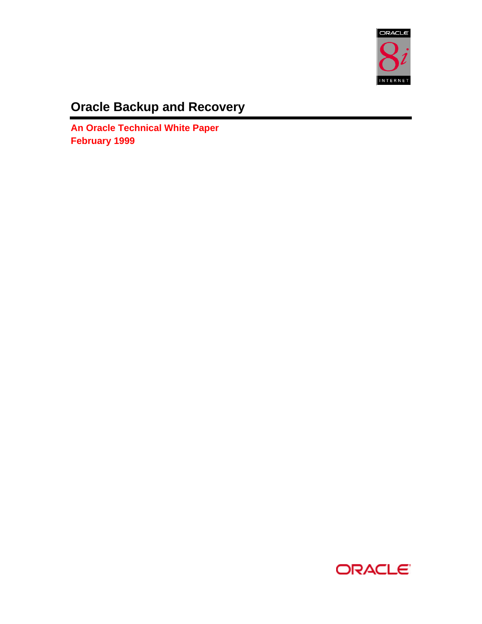

# **Oracle Backup and Recovery**

**An Oracle Technical White Paper February 1999**

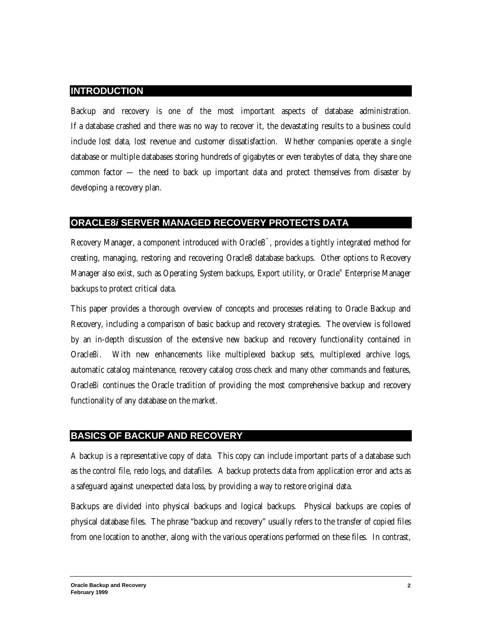#### **INTRODUCTION**

Backup and recovery is one of the most important aspects of database administration. If a database crashed and there was no way to recover it, the devastating results to a business could include lost data, lost revenue and customer dissatisfaction. Whether companies operate a single database or multiple databases storing hundreds of gigabytes or even terabytes of data, they share one common factor — the need to back up important data and protect themselves from disaster by developing a recovery plan.

# **ORACLE8***i* **SERVER MANAGED RECOVERY PROTECTS DATA**

Recovery Manager, a component introduced with Oracle8™, provides a tightly integrated method for creating, managing, restoring and recovering Oracle8 database backups. Other options to Recovery Manager also exist, such as Operating System backups, Export utility, or Oracle® Enterprise Manager backups to protect critical data.

This paper provides a thorough overview of concepts and processes relating to Oracle Backup and Recovery, including a comparison of basic backup and recovery strategies. The overview is followed by an in-depth discussion of the extensive new backup and recovery functionality contained in Oracle8*i*. With new enhancements like multiplexed backup sets, multiplexed archive logs, automatic catalog maintenance, recovery catalog cross check and many other commands and features, Oracle8*i* continues the Oracle tradition of providing the most comprehensive backup and recovery functionality of any database on the market.

### **BASICS OF BACKUP AND RECOVERY**

A backup is a representative copy of data. This copy can include important parts of a database such as the control file, redo logs, and datafiles. A backup protects data from application error and acts as a safeguard against unexpected data loss, by providing a way to restore original data.

Backups are divided into physical backups and logical backups. Physical backups are copies of physical database files. The phrase "backup and recovery" usually refers to the transfer of copied files from one location to another, along with the various operations performed on these files. In contrast,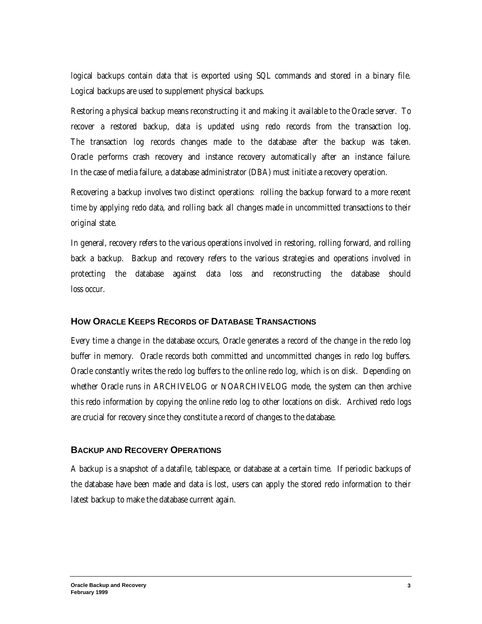logical backups contain data that is exported using SQL commands and stored in a binary file. Logical backups are used to supplement physical backups.

Restoring a physical backup means reconstructing it and making it available to the Oracle server. To recover a restored backup, data is updated using redo records from the transaction log. The transaction log records changes made to the database after the backup was taken. Oracle performs crash recovery and instance recovery automatically after an instance failure. In the case of media failure, a database administrator (DBA) must initiate a recovery operation.

Recovering a backup involves two distinct operations: rolling the backup forward to a more recent time by applying redo data, and rolling back all changes made in uncommitted transactions to their original state.

In general, recovery refers to the various operations involved in restoring, rolling forward, and rolling back a backup. Backup and recovery refers to the various strategies and operations involved in protecting the database against data loss and reconstructing the database should loss occur.

#### **HOW ORACLE KEEPS RECORDS OF DATABASE TRANSACTIONS**

Every time a change in the database occurs, Oracle generates a record of the change in the redo log buffer in memory. Oracle records both committed and uncommitted changes in redo log buffers. Oracle constantly writes the redo log buffers to the online redo log, which is on disk. Depending on whether Oracle runs in ARCHIVELOG or NOARCHIVELOG mode, the system can then archive this redo information by copying the online redo log to other locations on disk. Archived redo logs are crucial for recovery since they constitute a record of changes to the database.

#### **BACKUP AND RECOVERY OPERATIONS**

A backup is a snapshot of a datafile, tablespace, or database at a certain time. If periodic backups of the database have been made and data is lost, users can apply the stored redo information to their latest backup to make the database current again.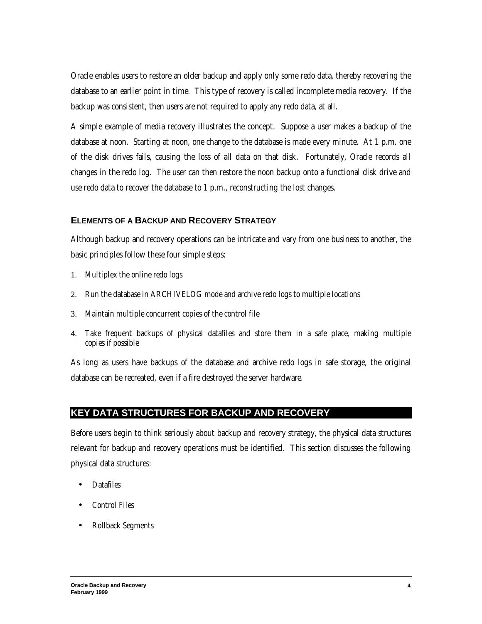Oracle enables users to restore an older backup and apply only some redo data, thereby recovering the database to an earlier point in time. This type of recovery is called incomplete media recovery. If the backup was consistent, then users are not required to apply any redo data, at all.

A simple example of media recovery illustrates the concept. Suppose a user makes a backup of the database at noon. Starting at noon, one change to the database is made every minute. At 1 p.m. one of the disk drives fails, causing the loss of all data on that disk. Fortunately, Oracle records all changes in the redo log. The user can then restore the noon backup onto a functional disk drive and use redo data to recover the database to 1 p.m., reconstructing the lost changes.

#### **ELEMENTS OF A BACKUP AND RECOVERY STRATEGY**

Although backup and recovery operations can be intricate and vary from one business to another, the basic principles follow these four simple steps:

- 1. Multiplex the online redo logs
- 2. Run the database in ARCHIVELOG mode and archive redo logs to multiple locations
- 3. Maintain multiple concurrent copies of the control file
- 4. Take frequent backups of physical datafiles and store them in a safe place, making multiple copies if possible

As long as users have backups of the database and archive redo logs in safe storage, the original database can be recreated, even if a fire destroyed the server hardware.

# **KEY DATA STRUCTURES FOR BACKUP AND RECOVERY**

Before users begin to think seriously about backup and recovery strategy, the physical data structures relevant for backup and recovery operations must be identified. This section discusses the following physical data structures:

- **Datafiles**
- Control Files
- Rollback Segments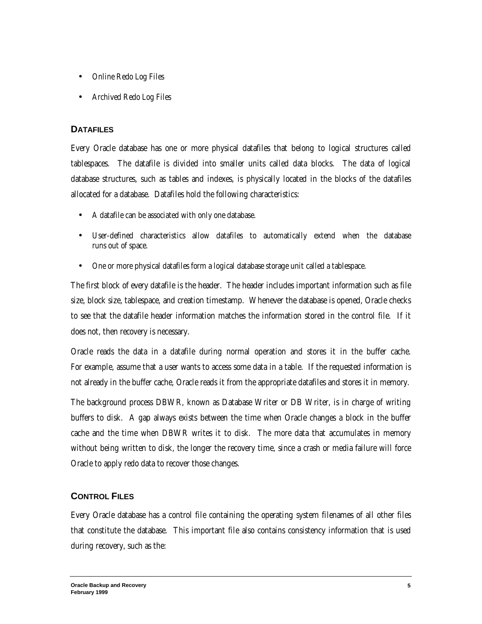- Online Redo Log Files
- Archived Redo Log Files

### **DATAFILES**

Every Oracle database has one or more physical datafiles that belong to logical structures called tablespaces. The datafile is divided into smaller units called data blocks. The data of logical database structures, such as tables and indexes, is physically located in the blocks of the datafiles allocated for a database. Datafiles hold the following characteristics:

- A datafile can be associated with only one database.
- User-defined characteristics allow datafiles to automatically extend when the database runs out of space.
- One or more physical datafiles form a logical database storage unit called a tablespace.

The first block of every datafile is the header. The header includes important information such as file size, block size, tablespace, and creation timestamp. Whenever the database is opened, Oracle checks to see that the datafile header information matches the information stored in the control file. If it does not, then recovery is necessary.

Oracle reads the data in a datafile during normal operation and stores it in the buffer cache. For example, assume that a user wants to access some data in a table. If the requested information is not already in the buffer cache, Oracle reads it from the appropriate datafiles and stores it in memory.

The background process DBWR, known as Database Writer or DB Writer, is in charge of writing buffers to disk. A gap always exists between the time when Oracle changes a block in the buffer cache and the time when DBWR writes it to disk. The more data that accumulates in memory without being written to disk, the longer the recovery time, since a crash or media failure will force Oracle to apply redo data to recover those changes.

# **CONTROL FILES**

Every Oracle database has a control file containing the operating system filenames of all other files that constitute the database. This important file also contains consistency information that is used during recovery, such as the: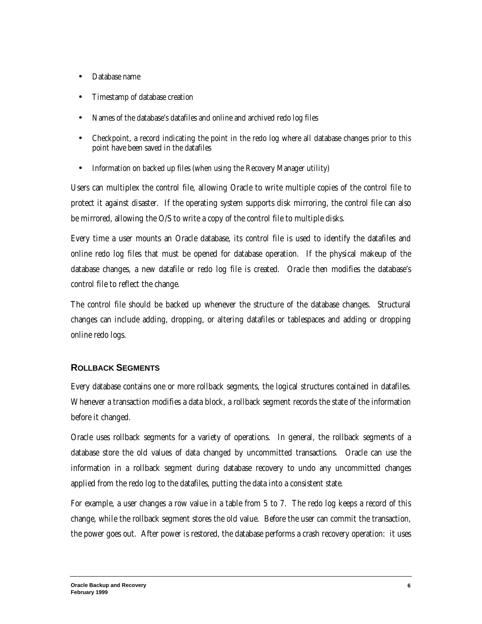- Database name
- Timestamp of database creation
- Names of the database's datafiles and online and archived redo log files
- Checkpoint, a record indicating the point in the redo log where all database changes prior to this point have been saved in the datafiles
- Information on backed up files (when using the Recovery Manager utility)

Users can multiplex the control file, allowing Oracle to write multiple copies of the control file to protect it against disaster. If the operating system supports disk mirroring, the control file can also be mirrored, allowing the O/S to write a copy of the control file to multiple disks.

Every time a user mounts an Oracle database, its control file is used to identify the datafiles and online redo log files that must be opened for database operation. If the physical makeup of the database changes, a new datafile or redo log file is created. Oracle then modifies the database's control file to reflect the change.

The control file should be backed up whenever the structure of the database changes. Structural changes can include adding, dropping, or altering datafiles or tablespaces and adding or dropping online redo logs.

### **ROLLBACK SEGMENTS**

Every database contains one or more rollback segments, the logical structures contained in datafiles. Whenever a transaction modifies a data block, a rollback segment records the state of the information before it changed.

Oracle uses rollback segments for a variety of operations. In general, the rollback segments of a database store the old values of data changed by uncommitted transactions. Oracle can use the information in a rollback segment during database recovery to undo any uncommitted changes applied from the redo log to the datafiles, putting the data into a consistent state.

For example, a user changes a row value in a table from 5 to 7. The redo log keeps a record of this change, while the rollback segment stores the old value. Before the user can commit the transaction, the power goes out. After power is restored, the database performs a crash recovery operation: it uses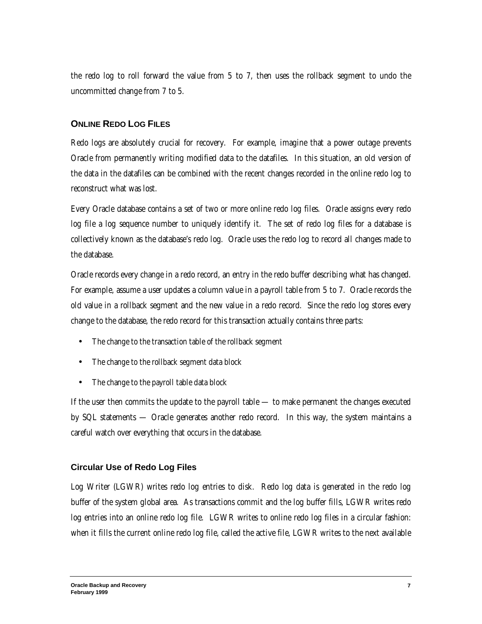the redo log to roll forward the value from 5 to 7, then uses the rollback segment to undo the uncommitted change from 7 to 5.

# **ONLINE REDO LOG FILES**

Redo logs are absolutely crucial for recovery. For example, imagine that a power outage prevents Oracle from permanently writing modified data to the datafiles. In this situation, an old version of the data in the datafiles can be combined with the recent changes recorded in the online redo log to reconstruct what was lost.

Every Oracle database contains a set of two or more online redo log files. Oracle assigns every redo log file a log sequence number to uniquely identify it. The set of redo log files for a database is collectively known as the database's redo log. Oracle uses the redo log to record all changes made to the database.

Oracle records every change in a redo record, an entry in the redo buffer describing what has changed. For example, assume a user updates a column value in a payroll table from 5 to 7. Oracle records the old value in a rollback segment and the new value in a redo record. Since the redo log stores every change to the database, the redo record for this transaction actually contains three parts:

- The change to the transaction table of the rollback segment
- The change to the rollback segment data block
- The change to the payroll table data block

If the user then commits the update to the payroll table — to make permanent the changes executed by SQL statements — Oracle generates another redo record. In this way, the system maintains a careful watch over everything that occurs in the database.

### **Circular Use of Redo Log Files**

Log Writer (LGWR) writes redo log entries to disk. Redo log data is generated in the redo log buffer of the system global area. As transactions commit and the log buffer fills, LGWR writes redo log entries into an online redo log file. LGWR writes to online redo log files in a circular fashion: when it fills the current online redo log file, called the active file, LGWR writes to the next available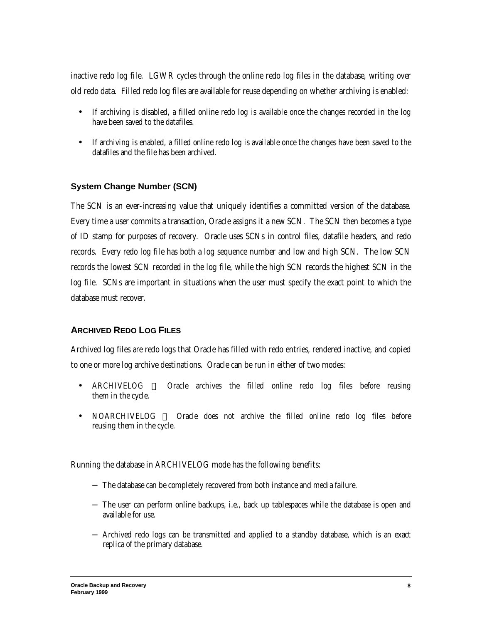inactive redo log file. LGWR cycles through the online redo log files in the database, writing over old redo data. Filled redo log files are available for reuse depending on whether archiving is enabled:

- If archiving is disabled, a filled online redo log is available once the changes recorded in the log have been saved to the datafiles.
- If archiving is enabled, a filled online redo log is available once the changes have been saved to the datafiles and the file has been archived.

#### **System Change Number (SCN)**

The SCN is an ever-increasing value that uniquely identifies a committed version of the database. Every time a user commits a transaction, Oracle assigns it a new SCN. The SCN then becomes a type of ID stamp for purposes of recovery. Oracle uses SCNs in control files, datafile headers, and redo records. Every redo log file has both a log sequence number and low and high SCN. The low SCN records the lowest SCN recorded in the log file, while the high SCN records the highest SCN in the log file. SCNs are important in situations when the user must specify the exact point to which the database must recover.

### **ARCHIVED REDO LOG FILES**

Archived log files are redo logs that Oracle has filled with redo entries, rendered inactive, and copied to one or more log archive destinations. Oracle can be run in either of two modes:

- ARCHIVELOG Oracle archives the filled online redo log files before reusing them in the cycle.
- NOARCHIVELOG Oracle does not archive the filled online redo log files before reusing them in the cycle.

Running the database in ARCHIVELOG mode has the following benefits:

- − The database can be completely recovered from both instance and media failure.
- − The user can perform online backups, i.e., back up tablespaces while the database is open and available for use.
- − Archived redo logs can be transmitted and applied to a standby database, which is an exact replica of the primary database.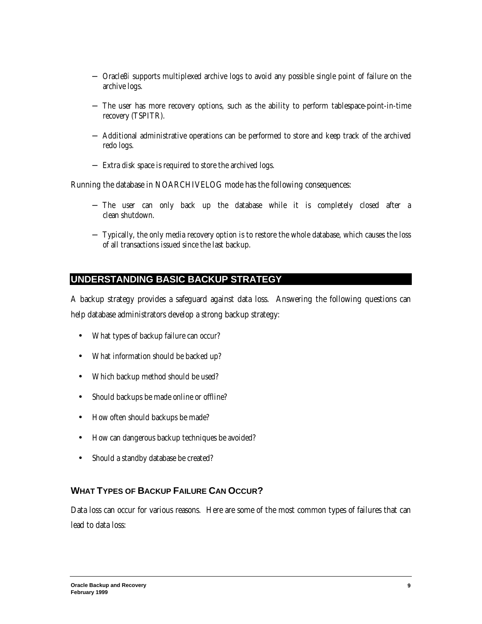- − Oracle8*i* supports multiplexed archive logs to avoid any possible single point of failure on the archive logs.
- − The user has more recovery options, such as the ability to perform tablespace-point-in-time recovery (TSPITR).
- − Additional administrative operations can be performed to store and keep track of the archived redo logs.
- − Extra disk space is required to store the archived logs.

Running the database in NOARCHIVELOG mode has the following consequences:

- − The user can only back up the database while it is completely closed after a clean shutdown.
- − Typically, the only media recovery option is to restore the whole database, which causes the loss of all transactions issued since the last backup.

# **UNDERSTANDING BASIC BACKUP STRATEGY**

A backup strategy provides a safeguard against data loss. Answering the following questions can help database administrators develop a strong backup strategy:

- What types of backup failure can occur?
- What information should be backed up?
- Which backup method should be used?
- Should backups be made online or offline?
- How often should backups be made?
- How can dangerous backup techniques be avoided?
- Should a standby database be created?

# **WHAT TYPES OF BACKUP FAILURE CAN OCCUR?**

Data loss can occur for various reasons. Here are some of the most common types of failures that can lead to data loss: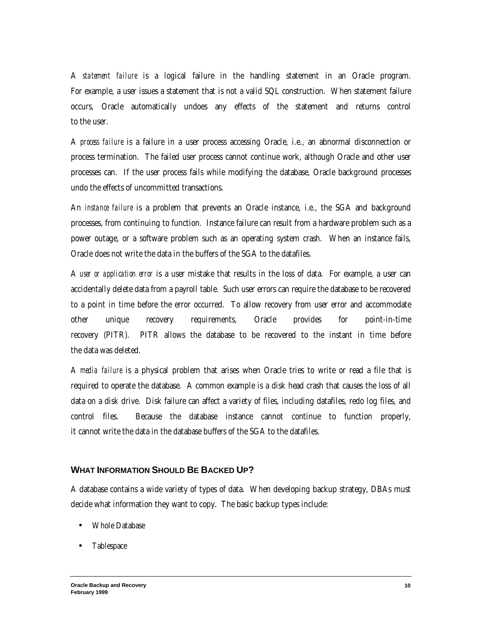A *statement failure* is a logical failure in the handling statement in an Oracle program. For example, a user issues a statement that is not a valid SQL construction. When statement failure occurs, Oracle automatically undoes any effects of the statement and returns control to the user.

A *process failure* is a failure in a user process accessing Oracle, i.e., an abnormal disconnection or process termination. The failed user process cannot continue work, although Oracle and other user processes can. If the user process fails while modifying the database, Oracle background processes undo the effects of uncommitted transactions.

An *instance failure* is a problem that prevents an Oracle instance, i.e., the SGA and background processes, from continuing to function. Instance failure can result from a hardware problem such as a power outage, or a software problem such as an operating system crash. When an instance fails, Oracle does not write the data in the buffers of the SGA to the datafiles.

A *user or application error* is a user mistake that results in the loss of data. For example, a user can accidentally delete data from a payroll table. Such user errors can require the database to be recovered to a point in time before the error occurred. To allow recovery from user error and accommodate other unique recovery requirements, Oracle provides for point-in-time recovery (PITR). PITR allows the database to be recovered to the instant in time before the data was deleted.

A *media failure* is a physical problem that arises when Oracle tries to write or read a file that is required to operate the database. A common example is a disk head crash that causes the loss of all data on a disk drive. Disk failure can affect a variety of files, including datafiles, redo log files, and control files. Because the database instance cannot continue to function properly, it cannot write the data in the database buffers of the SGA to the datafiles.

#### **WHAT INFORMATION SHOULD BE BACKED UP?**

A database contains a wide variety of types of data. When developing backup strategy, DBAs must decide what information they want to copy. The basic backup types include:

- Whole Database
- Tablespace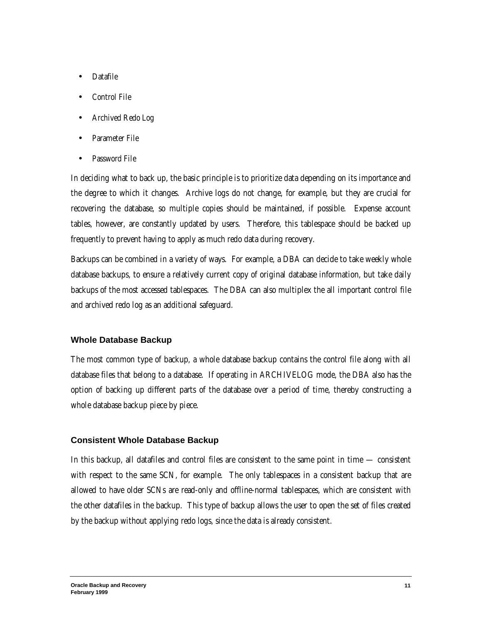- Datafile
- Control File
- Archived Redo Log
- Parameter File
- Password File

In deciding what to back up, the basic principle is to prioritize data depending on its importance and the degree to which it changes. Archive logs do not change, for example, but they are crucial for recovering the database, so multiple copies should be maintained, if possible. Expense account tables, however, are constantly updated by users. Therefore, this tablespace should be backed up frequently to prevent having to apply as much redo data during recovery.

Backups can be combined in a variety of ways. For example, a DBA can decide to take weekly whole database backups, to ensure a relatively current copy of original database information, but take daily backups of the most accessed tablespaces. The DBA can also multiplex the all important control file and archived redo log as an additional safeguard.

### **Whole Database Backup**

The most common type of backup, a whole database backup contains the control file along with all database files that belong to a database. If operating in ARCHIVELOG mode, the DBA also has the option of backing up different parts of the database over a period of time, thereby constructing a whole database backup piece by piece.

### **Consistent Whole Database Backup**

In this backup, all datafiles and control files are consistent to the same point in time — consistent with respect to the same SCN, for example. The only tablespaces in a consistent backup that are allowed to have older SCNs are read-only and offline-normal tablespaces, which are consistent with the other datafiles in the backup. This type of backup allows the user to open the set of files created by the backup without applying redo logs, since the data is already consistent.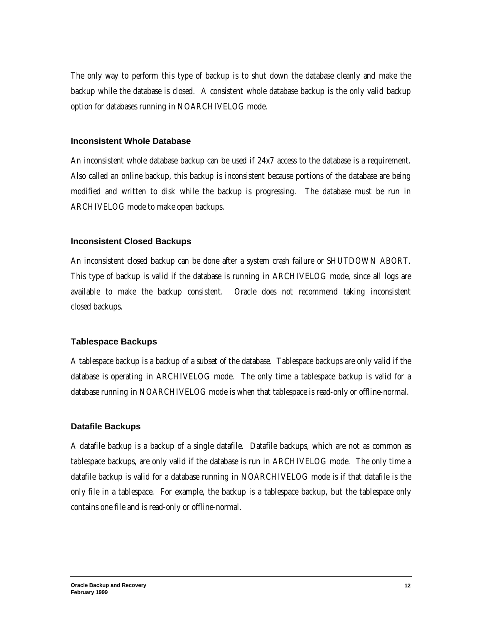The only way to perform this type of backup is to shut down the database cleanly and make the backup while the database is closed. A consistent whole database backup is the only valid backup option for databases running in NOARCHIVELOG mode.

#### **Inconsistent Whole Database**

An inconsistent whole database backup can be used if 24x7 access to the database is a requirement. Also called an online backup, this backup is inconsistent because portions of the database are being modified and written to disk while the backup is progressing. The database must be run in ARCHIVELOG mode to make open backups.

#### **Inconsistent Closed Backups**

An inconsistent closed backup can be done after a system crash failure or SHUTDOWN ABORT. This type of backup is valid if the database is running in ARCHIVELOG mode, since all logs are available to make the backup consistent. Oracle does not recommend taking inconsistent closed backups.

#### **Tablespace Backups**

A tablespace backup is a backup of a subset of the database. Tablespace backups are only valid if the database is operating in ARCHIVELOG mode. The only time a tablespace backup is valid for a database running in NOARCHIVELOG mode is when that tablespace is read-only or offline-normal.

#### **Datafile Backups**

A datafile backup is a backup of a single datafile. Datafile backups, which are not as common as tablespace backups, are only valid if the database is run in ARCHIVELOG mode. The only time a datafile backup is valid for a database running in NOARCHIVELOG mode is if that datafile is the only file in a tablespace. For example, the backup is a tablespace backup, but the tablespace only contains one file and is read-only or offline-normal.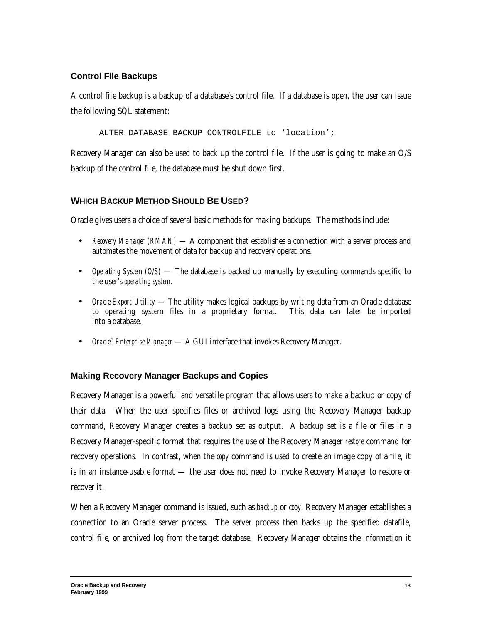### **Control File Backups**

A control file backup is a backup of a database's control file. If a database is open, the user can issue the following SQL statement:

ALTER DATABASE BACKUP CONTROLFILE to 'location';

Recovery Manager can also be used to back up the control file. If the user is going to make an O/S backup of the control file, the database must be shut down first.

# **WHICH BACKUP METHOD SHOULD BE USED?**

Oracle gives users a choice of several basic methods for making backups. The methods include:

- *Recovery Manager (RMAN)* A component that establishes a connection with a server process and automates the movement of data for backup and recovery operations.
- *Operating System (O/S)* The database is backed up manually by executing commands specific to the user's *operating system*.
- *Oracle Export Utility* The utility makes logical backups by writing data from an Oracle database to operating system files in a proprietary format. This data can later be imported into a database.
- *Oracle<sup>®</sup> Enterprise Manager* A GUI interface that invokes Recovery Manager.

# **Making Recovery Manager Backups and Copies**

Recovery Manager is a powerful and versatile program that allows users to make a backup or copy of their data. When the user specifies files or archived logs using the Recovery Manager backup command, Recovery Manager creates a backup set as output. A backup set is a file or files in a Recovery Manager-specific format that requires the use of the Recovery Manager *restore* command for recovery operations. In contrast, when the *copy* command is used to create an image copy of a file, it is in an instance-usable format — the user does not need to invoke Recovery Manager to restore or recover it.

When a Recovery Manager command is issued, such as *backup* or *copy*, Recovery Manager establishes a connection to an Oracle server process. The server process then backs up the specified datafile, control file, or archived log from the target database. Recovery Manager obtains the information it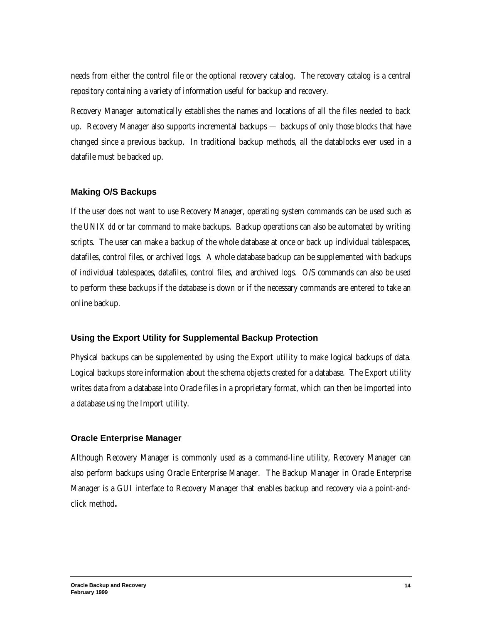needs from either the control file or the optional recovery catalog. The recovery catalog is a central repository containing a variety of information useful for backup and recovery.

Recovery Manager automatically establishes the names and locations of all the files needed to back up. Recovery Manager also supports incremental backups — backups of only those blocks that have changed since a previous backup. In traditional backup methods, all the datablocks ever used in a datafile must be backed up.

#### **Making O/S Backups**

If the user does not want to use Recovery Manager, operating system commands can be used such as the UNIX *dd* or *tar* command to make backups. Backup operations can also be automated by writing scripts. The user can make a backup of the whole database at once or back up individual tablespaces, datafiles, control files, or archived logs. A whole database backup can be supplemented with backups of individual tablespaces, datafiles, control files, and archived logs. O/S commands can also be used to perform these backups if the database is down or if the necessary commands are entered to take an online backup.

#### **Using the Export Utility for Supplemental Backup Protection**

Physical backups can be supplemented by using the Export utility to make logical backups of data. Logical backups store information about the schema objects created for a database. The Export utility writes data from a database into Oracle files in a proprietary format, which can then be imported into a database using the Import utility.

#### **Oracle Enterprise Manager**

Although Recovery Manager is commonly used as a command-line utility, Recovery Manager can also perform backups using Oracle Enterprise Manager. The Backup Manager in Oracle Enterprise Manager is a GUI interface to Recovery Manager that enables backup and recovery via a point-andclick method**.**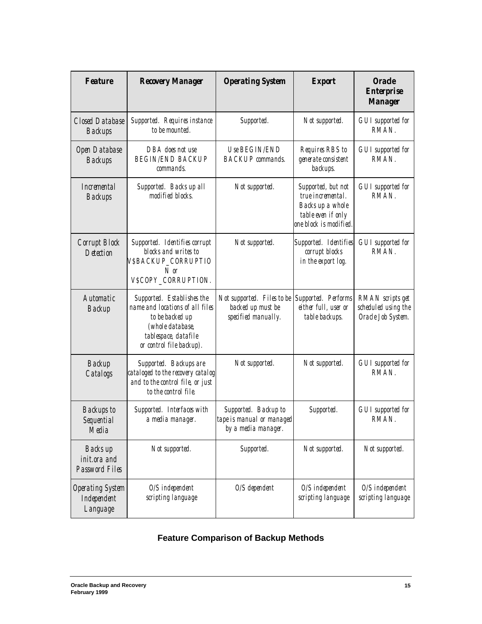| <b>Feature</b>                                     | <b>Recovery Manager</b>                                                                                                                                  | <b>Operating System</b>                                                  | <b>Export</b>                                                                                               | <b>Oracle</b><br><b>Enterprise</b><br><b>Manager</b>          |
|----------------------------------------------------|----------------------------------------------------------------------------------------------------------------------------------------------------------|--------------------------------------------------------------------------|-------------------------------------------------------------------------------------------------------------|---------------------------------------------------------------|
| <b>Closed Database</b><br><b>Backups</b>           | Supported. Requires instance<br>to be mounted.                                                                                                           | Supported.                                                               | Not supported.                                                                                              | <b>GUI</b> supported for<br>RMAN.                             |
| Open Database<br><b>Backups</b>                    | DBA does not use<br><b>BEGIN/END BACKUP</b><br>commands.                                                                                                 | Use BEGIN/END<br><b>BACKUP</b> commands.                                 | Requires RBS to<br>generate consistent<br>backups.                                                          | <b>GUI</b> supported for<br>RMAN.                             |
| <i>Incremental</i><br><b>Backups</b>               | Supported. Backs up all<br>modified blocks.                                                                                                              | Not supported.                                                           | Supported, but not<br>true incremental.<br>Backs up a whole<br>table even if only<br>one block is modified. | <b>GUI</b> supported for<br>RMAN.                             |
| Corrupt Block<br>Detection                         | Supported. Identifies corrupt<br>blocks and writes to<br><i>VSBACKUP_CORRUPTIO</i><br>$N$ or<br>VSCOPY CORRUPTION.                                       | Not supported.                                                           | Supported. Identifies<br>corrupt blocks<br>in the export log.                                               | <b>GUI</b> supported for<br>RMAN.                             |
| Automatic<br>Backup                                | Supported. Establishes the<br>name and locations of all files<br>to be backed up<br>(whole database,<br>tablespace, datafile<br>or control file backup). | Not supported. Files to be<br>backed up must be<br>specified manually.   | Supported. Performs<br>either full, user or<br>table backups.                                               | RMAN scripts get<br>scheduled using the<br>Oracle Job System. |
| Backup<br>Catalogs                                 | Supported. Backups are<br>cataloged to the recovery catalog<br>and to the control file, or just<br>to the control file.                                  | Not supported.                                                           | Not supported.                                                                                              | <b>GUI</b> supported for<br>RMAN.                             |
| <b>Backups</b> to<br>Sequential<br>Media           | Supported. Interfaces with<br>a media manager.                                                                                                           | Supported. Backup to<br>tape is manual or managed<br>by a media manager. | Supported.                                                                                                  | <b>GUI</b> supported for<br>RMAN.                             |
| Backs up<br>init.ora and<br>Password Files         | Not supported.                                                                                                                                           | Supported.                                                               | Not supported.                                                                                              | Not supported.                                                |
| <b>Operating System</b><br>Independent<br>Language | $O/S$ independent<br>scripting language                                                                                                                  | $O/S$ dependent                                                          | $O/S$ independent<br>scripting language                                                                     | $O/S$ independent<br>scripting language                       |

# **Feature Comparison of Backup Methods**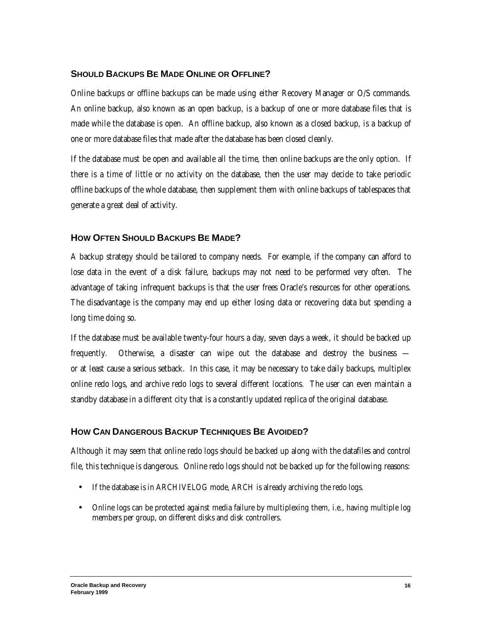### **SHOULD BACKUPS BE MADE ONLINE OR OFFLINE?**

Online backups or offline backups can be made using either Recovery Manager or O/S commands. An online backup, also known as an open backup, is a backup of one or more database files that is made while the database is open. An offline backup, also known as a closed backup, is a backup of one or more database files that made after the database has been closed cleanly.

If the database must be open and available all the time, then online backups are the only option. If there is a time of little or no activity on the database, then the user may decide to take periodic offline backups of the whole database, then supplement them with online backups of tablespaces that generate a great deal of activity.

### **HOW OFTEN SHOULD BACKUPS BE MADE?**

A backup strategy should be tailored to company needs. For example, if the company can afford to lose data in the event of a disk failure, backups may not need to be performed very often. The advantage of taking infrequent backups is that the user frees Oracle's resources for other operations. The disadvantage is the company may end up either losing data or recovering data but spending a long time doing so.

If the database must be available twenty-four hours a day, seven days a week, it should be backed up frequently. Otherwise, a disaster can wipe out the database and destroy the business or at least cause a serious setback. In this case, it may be necessary to take daily backups, multiplex online redo logs, and archive redo logs to several different locations. The user can even maintain a standby database in a different city that is a constantly updated replica of the original database.

### **HOW CAN DANGEROUS BACKUP TECHNIQUES BE AVOIDED?**

Although it may seem that online redo logs should be backed up along with the datafiles and control file, this technique is dangerous. Online redo logs should not be backed up for the following reasons:

- If the database is in ARCHIVELOG mode, ARCH is already archiving the redo logs.
- Online logs can be protected against media failure by multiplexing them, i.e., having multiple log members per group, on different disks and disk controllers.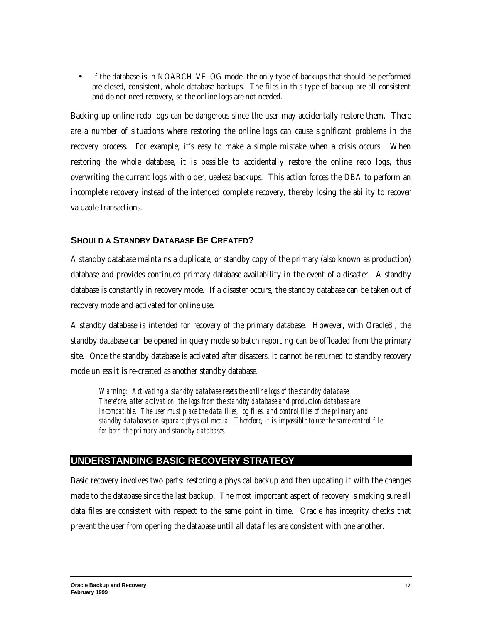• If the database is in NOARCHIVELOG mode, the only type of backups that should be performed are closed, consistent, whole database backups. The files in this type of backup are all consistent and do not need recovery, so the online logs are not needed.

Backing up online redo logs can be dangerous since the user may accidentally restore them. There are a number of situations where restoring the online logs can cause significant problems in the recovery process. For example, it's easy to make a simple mistake when a crisis occurs.When restoring the whole database, it is possible to accidentally restore the online redo logs, thus overwriting the current logs with older, useless backups. This action forces the DBA to perform an incomplete recovery instead of the intended complete recovery, thereby losing the ability to recover valuable transactions.

### **SHOULD A STANDBY DATABASE BE CREATED?**

A standby database maintains a duplicate, or standby copy of the primary (also known as production) database and provides continued primary database availability in the event of a disaster. A standby database is constantly in recovery mode. If a disaster occurs, the standby database can be taken out of recovery mode and activated for online use.

A standby database is intended for recovery of the primary database. However, with Oracle8*i*, the standby database can be opened in query mode so batch reporting can be offloaded from the primary site. Once the standby database is activated after disasters, it cannot be returned to standby recovery mode unless it is re-created as another standby database.

*Warning: Activating a standby database resets the online logs of the standby database. Therefore, after activation, the logs from the standby database and production database are incompatible. The user must place the data files, log files, and control files of the primary and standby databases on separate physical media. Therefore, it is impossible to use the same control file for both the primary and standby databases.*

# **UNDERSTANDING BASIC RECOVERY STRATEGY**

Basic recovery involves two parts: restoring a physical backup and then updating it with the changes made to the database since the last backup. The most important aspect of recovery is making sure all data files are consistent with respect to the same point in time. Oracle has integrity checks that prevent the user from opening the database until all data files are consistent with one another.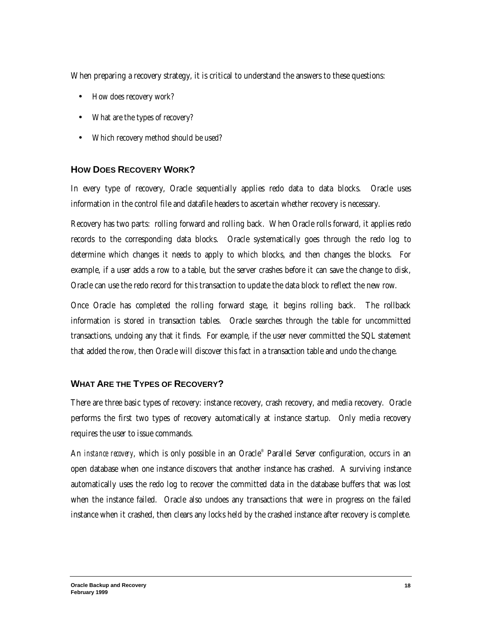When preparing a recovery strategy, it is critical to understand the answers to these questions:

- How does recovery work?
- What are the types of recovery?
- Which recovery method should be used?

### **HOW DOES RECOVERY WORK?**

In every type of recovery, Oracle sequentially applies redo data to data blocks. Oracle uses information in the control file and datafile headers to ascertain whether recovery is necessary.

Recovery has two parts: rolling forward and rolling back. When Oracle rolls forward, it applies redo records to the corresponding data blocks. Oracle systematically goes through the redo log to determine which changes it needs to apply to which blocks, and then changes the blocks. For example, if a user adds a row to a table, but the server crashes before it can save the change to disk, Oracle can use the redo record for this transaction to update the data block to reflect the new row.

Once Oracle has completed the rolling forward stage, it begins rolling back. The rollback information is stored in transaction tables. Oracle searches through the table for uncommitted transactions, undoing any that it finds. For example, if the user never committed the SQL statement that added the row, then Oracle will discover this fact in a transaction table and undo the change.

### **WHAT ARE THE TYPES OF RECOVERY?**

There are three basic types of recovery: instance recovery, crash recovery, and media recovery. Oracle performs the first two types of recovery automatically at instance startup. Only media recovery requires the user to issue commands.

An *instance recovery*, which is only possible in an Oracle® Parallel Server configuration, occurs in an open database when one instance discovers that another instance has crashed. A surviving instance automatically uses the redo log to recover the committed data in the database buffers that was lost when the instance failed. Oracle also undoes any transactions that were in progress on the failed instance when it crashed, then clears any locks held by the crashed instance after recovery is complete.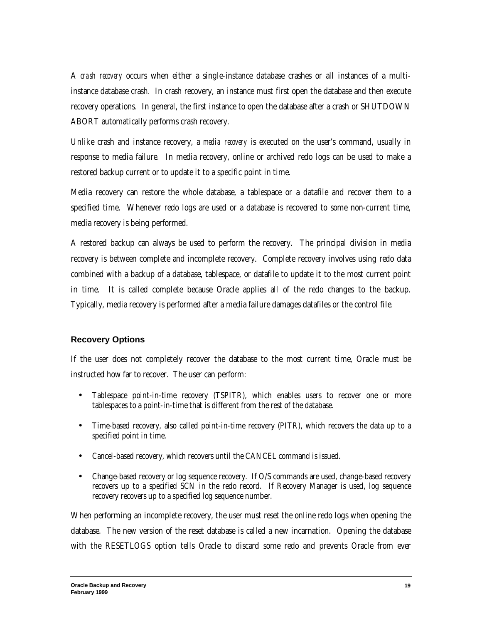A *crash recovery* occurs when either a single-instance database crashes or all instances of a multiinstance database crash. In crash recovery, an instance must first open the database and then execute recovery operations. In general, the first instance to open the database after a crash or SHUTDOWN ABORT automatically performs crash recovery.

Unlike crash and instance recovery, a *media recovery* is executed on the user's command, usually in response to media failure. In media recovery, online or archived redo logs can be used to make a restored backup current or to update it to a specific point in time.

Media recovery can restore the whole database, a tablespace or a datafile and recover them to a specified time. Whenever redo logs are used or a database is recovered to some non-current time, media recovery is being performed.

A restored backup can always be used to perform the recovery. The principal division in media recovery is between complete and incomplete recovery.Complete recovery involves using redo data combined with a backup of a database, tablespace, or datafile to update it to the most current point in time. It is called complete because Oracle applies all of the redo changes to the backup. Typically, media recovery is performed after a media failure damages datafiles or the control file.

### **Recovery Options**

If the user does not completely recover the database to the most current time, Oracle must be instructed how far to recover. The user can perform:

- Tablespace point-in-time recovery (TSPITR), which enables users to recover one or more tablespaces to a point-in-time that is different from the rest of the database.
- Time-based recovery, also called point-in-time recovery (PITR), which recovers the data up to a specified point in time.
- Cancel-based recovery, which recovers until the CANCEL command is issued.
- Change-based recovery or log sequence recovery. If O/S commands are used, change-based recovery recovers up to a specified SCN in the redo record. If Recovery Manager is used, log sequence recovery recovers up to a specified log sequence number.

When performing an incomplete recovery, the user must reset the online redo logs when opening the database. The new version of the reset database is called a new incarnation. Opening the database with the RESETLOGS option tells Oracle to discard some redo and prevents Oracle from ever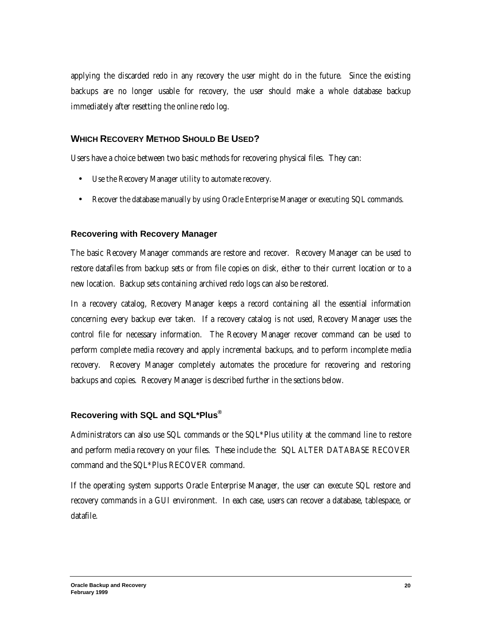applying the discarded redo in any recovery the user might do in the future. Since the existing backups are no longer usable for recovery, the user should make a whole database backup immediately after resetting the online redo log.

### **WHICH RECOVERY METHOD SHOULD BE USED?**

Users have a choice between two basic methods for recovering physical files. They can:

- Use the Recovery Manager utility to automate recovery.
- Recover the database manually by using Oracle Enterprise Manager or executing SQL commands.

#### **Recovering with Recovery Manager**

The basic Recovery Manager commands are restore and recover. Recovery Manager can be used to restore datafiles from backup sets or from file copies on disk, either to their current location or to a new location. Backup sets containing archived redo logs can also be restored.

In a recovery catalog, Recovery Manager keeps a record containing all the essential information concerning every backup ever taken. If a recovery catalog is not used, Recovery Manager uses the control file for necessary information. The Recovery Manager recover command can be used to perform complete media recovery and apply incremental backups, and to perform incomplete media recovery. Recovery Manager completely automates the procedure for recovering and restoring backups and copies. Recovery Manager is described further in the sections below.

### **Recovering with SQL and SQL\*Plus®**

Administrators can also use SQL commands or the SQL\*Plus utility at the command line to restore and perform media recovery on your files. These include the: SQL ALTER DATABASE RECOVER command and the SQL\*Plus RECOVER command.

If the operating system supports Oracle Enterprise Manager, the user can execute SQL restore and recovery commands in a GUI environment. In each case, users can recover a database, tablespace, or datafile.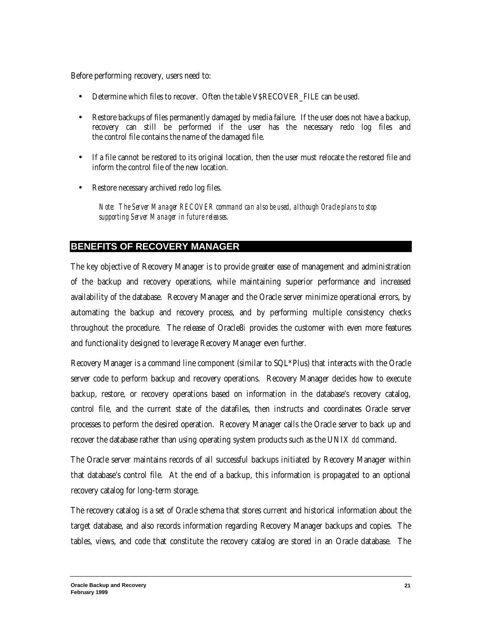Before performing recovery, users need to:

- Determine which files to recover. Often the table V\$RECOVER FILE can be used.
- Restore backups of files permanently damaged by media failure. If the user does not have a backup, recovery can still be performed if the user has the necessary redo log files and the control file contains the name of the damaged file.
- If a file cannot be restored to its original location, then the user must relocate the restored file and inform the control file of the new location.
- Restore necessary archived redo log files.

*Note: The Server Manager RECOVER command can also be used, although Oracle plans to stop supporting Server Manager in future releases.*

# **BENEFITS OF RECOVERY MANAGER**

The key objective of Recovery Manager is to provide greater ease of management and administration of the backup and recovery operations, while maintaining superior performance and increased availability of the database. Recovery Manager and the Oracle server minimize operational errors, by automating the backup and recovery process, and by performing multiple consistency checks throughout the procedure. The release of Oracle8*i* provides the customer with even more features and functionality designed to leverage Recovery Manager even further.

Recovery Manager is a command line component (similar to SQL\*Plus) that interacts with the Oracle server code to perform backup and recovery operations. Recovery Manager decides how to execute backup, restore, or recovery operations based on information in the database's recovery catalog, control file, and the current state of the datafiles, then instructs and coordinates Oracle server processes to perform the desired operation. Recovery Manager calls the Oracle server to back up and recover the database rather than using operating system products such as the UNIX *dd* command.

The Oracle server maintains records of all successful backups initiated by Recovery Manager within that database's control file. At the end of a backup, this information is propagated to an optional recovery catalog for long-term storage.

The recovery catalog is a set of Oracle schema that stores current and historical information about the target database, and also records information regarding Recovery Manager backups and copies. The tables, views, and code that constitute the recovery catalog are stored in an Oracle database. The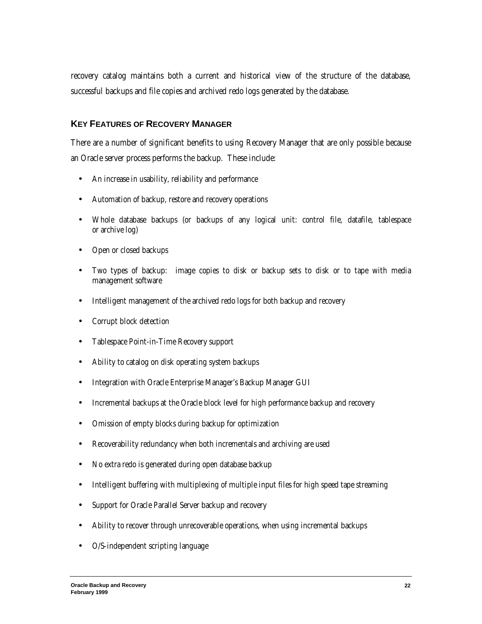recovery catalog maintains both a current and historical view of the structure of the database, successful backups and file copies and archived redo logs generated by the database.

#### **KEY FEATURES OF RECOVERY MANAGER**

There are a number of significant benefits to using Recovery Manager that are only possible because an Oracle server process performs the backup. These include:

- An increase in usability, reliability and performance
- Automation of backup, restore and recovery operations
- Whole database backups (or backups of any logical unit: control file, datafile, tablespace or archive log)
- Open or closed backups
- Two types of backup: image copies to disk or backup sets to disk or to tape with media management software
- Intelligent management of the archived redo logs for both backup and recovery
- Corrupt block detection
- Tablespace Point-in-Time Recovery support
- Ability to catalog on disk operating system backups
- Integration with Oracle Enterprise Manager's Backup Manager GUI
- Incremental backups at the Oracle block level for high performance backup and recovery
- Omission of empty blocks during backup for optimization
- Recoverability redundancy when both incrementals and archiving are used
- No extra redo is generated during open database backup
- Intelligent buffering with multiplexing of multiple input files for high speed tape streaming
- Support for Oracle Parallel Server backup and recovery
- Ability to recover through unrecoverable operations, when using incremental backups
- O/S-independent scripting language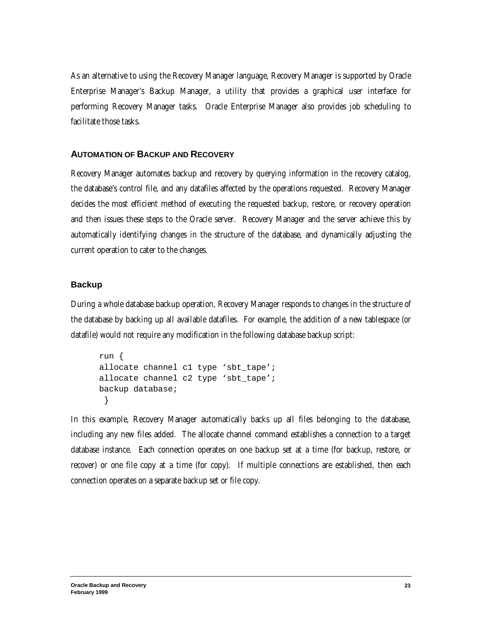As an alternative to using the Recovery Manager language, Recovery Manager is supported by Oracle Enterprise Manager's Backup Manager, a utility that provides a graphical user interface for performing Recovery Manager tasks. Oracle Enterprise Manager also provides job scheduling to facilitate those tasks.

#### **AUTOMATION OF BACKUP AND RECOVERY**

Recovery Manager automates backup and recovery by querying information in the recovery catalog, the database's control file, and any datafiles affected by the operations requested. Recovery Manager decides the most efficient method of executing the requested backup, restore, or recovery operation and then issues these steps to the Oracle server. Recovery Manager and the server achieve this by automatically identifying changes in the structure of the database, and dynamically adjusting the current operation to cater to the changes.

#### **Backup**

During a whole database backup operation, Recovery Manager responds to changes in the structure of the database by backing up all available datafiles. For example, the addition of a new tablespace (or datafile) would not require any modification in the following database backup script:

```
run {
allocate channel c1 type 'sbt_tape';
allocate channel c2 type 'sbt tape';
backup database;
  }
```
In this example, Recovery Manager automatically backs up all files belonging to the database, including any new files added. The allocate channel command establishes a connection to a target database instance. Each connection operates on one backup set at a time (for backup, restore, or recover) or one file copy at a time (for copy). If multiple connections are established, then each connection operates on a separate backup set or file copy.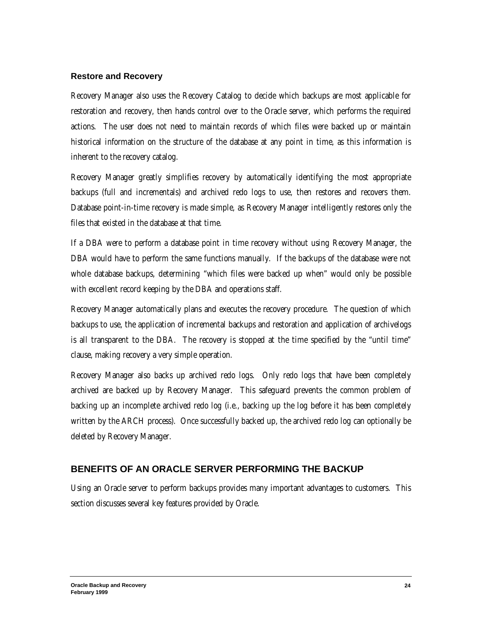#### **Restore and Recovery**

Recovery Manager also uses the Recovery Catalog to decide which backups are most applicable for restoration and recovery, then hands control over to the Oracle server, which performs the required actions. The user does not need to maintain records of which files were backed up or maintain historical information on the structure of the database at any point in time, as this information is inherent to the recovery catalog.

Recovery Manager greatly simplifies recovery by automatically identifying the most appropriate backups (full and incrementals) and archived redo logs to use, then restores and recovers them. Database point-in-time recovery is made simple, as Recovery Manager intelligently restores only the files that existed in the database at that time.

If a DBA were to perform a database point in time recovery without using Recovery Manager, the DBA would have to perform the same functions manually. If the backups of the database were not whole database backups, determining "which files were backed up when" would only be possible with excellent record keeping by the DBA and operations staff.

Recovery Manager automatically plans and executes the recovery procedure. The question of which backups to use, the application of incremental backups and restoration and application of archivelogs is all transparent to the DBA. The recovery is stopped at the time specified by the "until time" clause, making recovery a very simple operation.

Recovery Manager also backs up archived redo logs. Only redo logs that have been completely archived are backed up by Recovery Manager. This safeguard prevents the common problem of backing up an incomplete archived redo log (i.e., backing up the log before it has been completely written by the ARCH process). Once successfully backed up, the archived redo log can optionally be deleted by Recovery Manager.

### **BENEFITS OF AN ORACLE SERVER PERFORMING THE BACKUP**

Using an Oracle server to perform backups provides many important advantages to customers. This section discusses several key features provided by Oracle.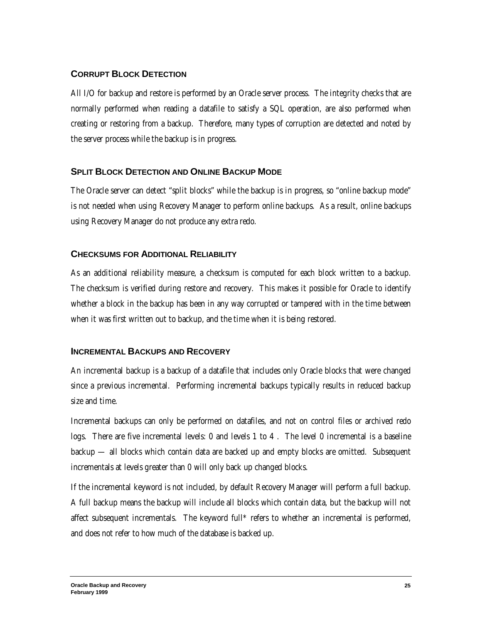# **CORRUPT BLOCK DETECTION**

All I/O for backup and restore is performed by an Oracle server process. The integrity checks that are normally performed when reading a datafile to satisfy a SQL operation, are also performed when creating or restoring from a backup. Therefore, many types of corruption are detected and noted by the server process while the backup is in progress.

# **SPLIT BLOCK DETECTION AND ONLINE BACKUP MODE**

The Oracle server can detect "split blocks" while the backup is in progress, so "online backup mode" is not needed when using Recovery Manager to perform online backups. As a result, online backups using Recovery Manager do not produce any extra redo.

# **CHECKSUMS FOR ADDITIONAL RELIABILITY**

As an additional reliability measure, a checksum is computed for each block written to a backup. The checksum is verified during restore and recovery. This makes it possible for Oracle to identify whether a block in the backup has been in any way corrupted or tampered with in the time between when it was first written out to backup, and the time when it is being restored.

# **INCREMENTAL BACKUPS AND RECOVERY**

An incremental backup is a backup of a datafile that includes only Oracle blocks that were changed since a previous incremental. Performing incremental backups typically results in reduced backup size and time.

Incremental backups can only be performed on datafiles, and not on control files or archived redo logs. There are five incremental levels: 0 and levels 1 to 4 . The level 0 incremental is a baseline backup — all blocks which contain data are backed up and empty blocks are omitted. Subsequent incrementals at levels greater than 0 will only back up changed blocks.

If the incremental keyword is not included, by default Recovery Manager will perform a full backup. A full backup means the backup will include all blocks which contain data, but the backup will not affect subsequent incrementals. The keyword full\* refers to whether an incremental is performed, and does not refer to how much of the database is backed up.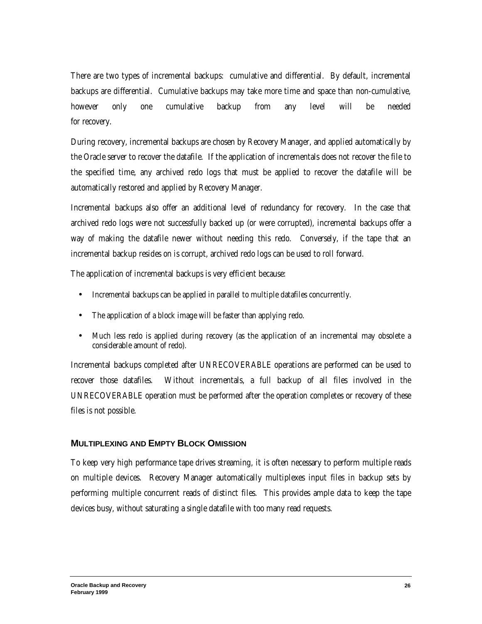There are two types of incremental backups: cumulative and differential. By default, incremental backups are differential. Cumulative backups may take more time and space than non-cumulative, however only one cumulative backup from any level will be needed for recovery.

During recovery, incremental backups are chosen by Recovery Manager, and applied automatically by the Oracle server to recover the datafile. If the application of incrementals does not recover the file to the specified time, any archived redo logs that must be applied to recover the datafile will be automatically restored and applied by Recovery Manager.

Incremental backups also offer an additional level of redundancy for recovery. In the case that archived redo logs were not successfully backed up (or were corrupted), incremental backups offer a way of making the datafile newer without needing this redo. Conversely, if the tape that an incremental backup resides on is corrupt, archived redo logs can be used to roll forward.

The application of incremental backups is very efficient because:

- Incremental backups can be applied in parallel to multiple datafiles concurrently.
- The application of a block image will be faster than applying redo.
- Much less redo is applied during recovery (as the application of an incremental may obsolete a considerable amount of redo).

Incremental backups completed after UNRECOVERABLE operations are performed can be used to recover those datafiles. Without incrementals, a full backup of all files involved in the UNRECOVERABLE operation must be performed after the operation completes or recovery of these files is not possible.

### **MULTIPLEXING AND EMPTY BLOCK OMISSION**

To keep very high performance tape drives streaming, it is often necessary to perform multiple reads on multiple devices. Recovery Manager automatically multiplexes input files in backup sets by performing multiple concurrent reads of distinct files. This provides ample data to keep the tape devices busy, without saturating a single datafile with too many read requests.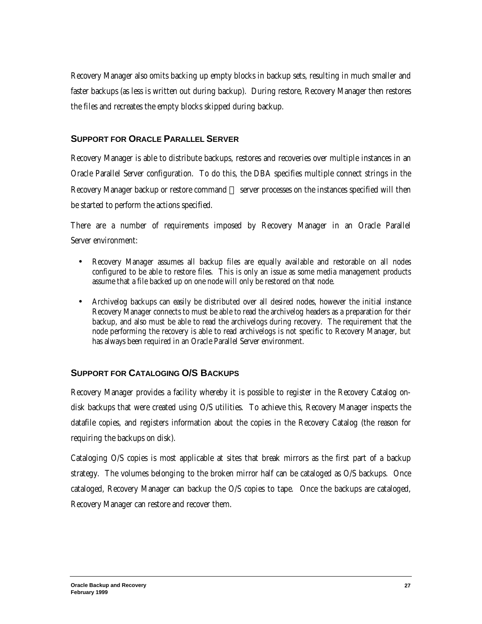Recovery Manager also omits backing up empty blocks in backup sets, resulting in much smaller and faster backups (as less is written out during backup). During restore, Recovery Manager then restores the files and recreates the empty blocks skipped during backup.

### **SUPPORT FOR ORACLE PARALLEL SERVER**

Recovery Manager is able to distribute backups, restores and recoveries over multiple instances in an Oracle Parallel Server configuration. To do this, the DBA specifies multiple connect strings in the Recovery Manager backup or restore command — server processes on the instances specified will then be started to perform the actions specified.

There are a number of requirements imposed by Recovery Manager in an Oracle Parallel Server environment:

- Recovery Manager assumes all backup files are equally available and restorable on all nodes configured to be able to restore files. This is only an issue as some media management products assume that a file backed up on one node will only be restored on that node.
- Archivelog backups can easily be distributed over all desired nodes, however the initial instance Recovery Manager connects to must be able to read the archivelog headers as a preparation for their backup, and also must be able to read the archivelogs during recovery. The requirement that the node performing the recovery is able to read archivelogs is not specific to Recovery Manager, but has always been required in an Oracle Parallel Server environment.

# **SUPPORT FOR CATALOGING O/S BACKUPS**

Recovery Manager provides a facility whereby it is possible to register in the Recovery Catalog ondisk backups that were created using O/S utilities. To achieve this, Recovery Manager inspects the datafile copies, and registers information about the copies in the Recovery Catalog (the reason for requiring the backups on disk).

Cataloging O/S copies is most applicable at sites that break mirrors as the first part of a backup strategy. The volumes belonging to the broken mirror half can be cataloged as O/S backups. Once cataloged, Recovery Manager can backup the O/S copies to tape. Once the backups are cataloged, Recovery Manager can restore and recover them.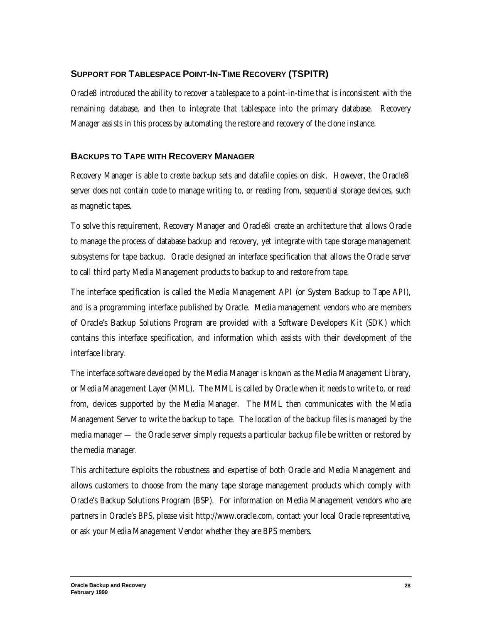# **SUPPORT FOR TABLESPACE POINT-IN-TIME RECOVERY (TSPITR)**

Oracle8 introduced the ability to recover a tablespace to a point-in-time that is inconsistent with the remaining database, and then to integrate that tablespace into the primary database. Recovery Manager assists in this process by automating the restore and recovery of the clone instance.

### **BACKUPS TO TAPE WITH RECOVERY MANAGER**

Recovery Manager is able to create backup sets and datafile copies on disk. However, the Oracle8*i* server does not contain code to manage writing to, or reading from, sequential storage devices, such as magnetic tapes.

To solve this requirement, Recovery Manager and Oracle8*i* create an architecture that allows Oracle to manage the process of database backup and recovery, yet integrate with tape storage management subsystems for tape backup. Oracle designed an interface specification that allows the Oracle server to call third party Media Management products to backup to and restore from tape.

The interface specification is called the Media Management API (or System Backup to Tape API), and is a programming interface published by Oracle. Media management vendors who are members of Oracle's Backup Solutions Program are provided with a Software Developers Kit (SDK) which contains this interface specification, and information which assists with their development of the interface library.

The interface software developed by the Media Manager is known as the Media Management Library, or Media Management Layer (MML). The MML is called by Oracle when it needs to write to, or read from, devices supported by the Media Manager. The MML then communicates with the Media Management Server to write the backup to tape. The location of the backup files is managed by the media manager — the Oracle server simply requests a particular backup file be written or restored by the media manager.

This architecture exploits the robustness and expertise of both Oracle and Media Management and allows customers to choose from the many tape storage management products which comply with Oracle's Backup Solutions Program (BSP). For information on Media Management vendors who are partners in Oracle's BPS, please visit http://www.oracle.com, contact your local Oracle representative, or ask your Media Management Vendor whether they are BPS members.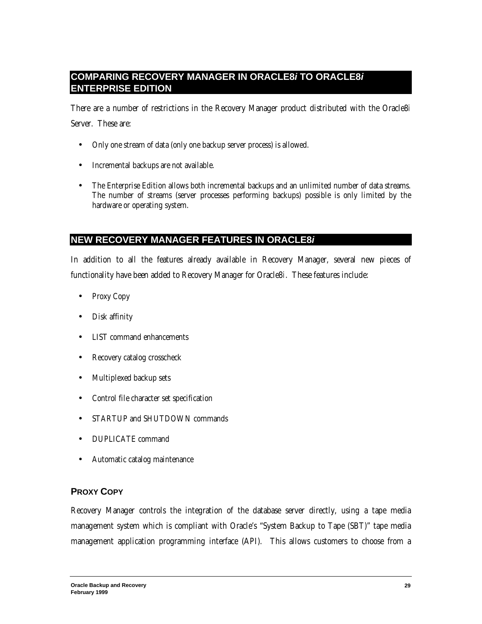# **COMPARING RECOVERY MANAGER IN ORACLE8***i* **TO ORACLE8***i* **ENTERPRISE EDITION**

There are a number of restrictions in the Recovery Manager product distributed with the Oracle8*i* Server. These are:

- Only one stream of data (only one backup server process) is allowed.
- Incremental backups are not available.
- The Enterprise Edition allows both incremental backups and an unlimited number of data streams. The number of streams (server processes performing backups) possible is only limited by the hardware or operating system.

# **NEW RECOVERY MANAGER FEATURES IN ORACLE8***i*

In addition to all the features already available in Recovery Manager, several new pieces of functionality have been added to Recovery Manager for Oracle8*i*. These features include:

- Proxy Copy
- Disk affinity
- LIST command enhancements
- Recovery catalog crosscheck
- Multiplexed backup sets
- Control file character set specification
- STARTUP and SHUTDOWN commands
- DUPLICATE command
- Automatic catalog maintenance

### **PROXY COPY**

Recovery Manager controls the integration of the database server directly, using a tape media management system which is compliant with Oracle's "System Backup to Tape (SBT)" tape media management application programming interface (API). This allows customers to choose from a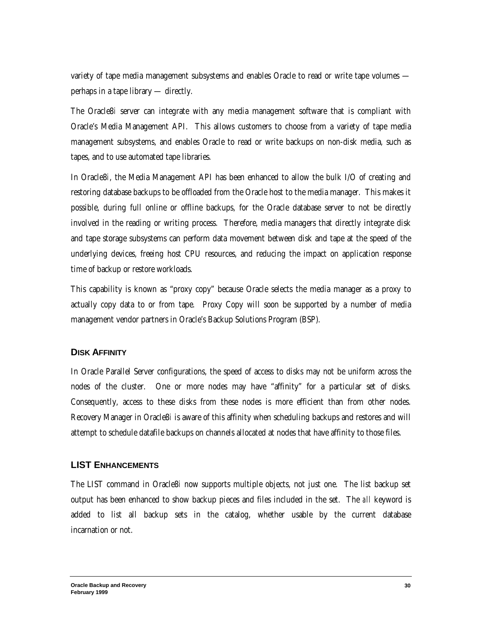variety of tape media management subsystems and enables Oracle to read or write tape volumes perhaps in a tape library — directly.

The Oracle8*i* server can integrate with any media management software that is compliant with Oracle's Media Management API. This allows customers to choose from a variety of tape media management subsystems, and enables Oracle to read or write backups on non-disk media, such as tapes, and to use automated tape libraries.

In Oracle8*i*, the Media Management API has been enhanced to allow the bulk I/O of creating and restoring database backups to be offloaded from the Oracle host to the media manager. This makes it possible, during full online or offline backups, for the Oracle database server to not be directly involved in the reading or writing process. Therefore, media managers that directly integrate disk and tape storage subsystems can perform data movement between disk and tape at the speed of the underlying devices, freeing host CPU resources, and reducing the impact on application response time of backup or restore workloads.

This capability is known as "proxy copy" because Oracle selects the media manager as a proxy to actually copy data to or from tape. Proxy Copy will soon be supported by a number of media management vendor partners in Oracle's Backup Solutions Program (BSP).

#### **DISK AFFINITY**

In Oracle Parallel Server configurations, the speed of access to disks may not be uniform across the nodes of the cluster. One or more nodes may have "affinity" for a particular set of disks. Consequently, access to these disks from these nodes is more efficient than from other nodes. Recovery Manager in Oracle8*i* is aware of this affinity when scheduling backups and restores and will attempt to schedule datafile backups on channels allocated at nodes that have affinity to those files.

#### **LIST ENHANCEMENTS**

The LIST command in Oracle8*i* now supports multiple objects, not just one. The list backup set output has been enhanced to show backup pieces and files included in the set. The *all* keyword is added to list all backup sets in the catalog, whether usable by the current database incarnation or not.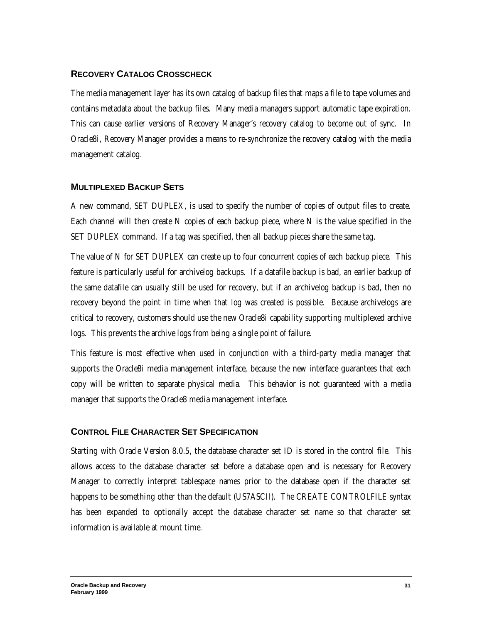### **RECOVERY CATALOG CROSSCHECK**

The media management layer has its own catalog of backup files that maps a file to tape volumes and contains metadata about the backup files. Many media managers support automatic tape expiration. This can cause earlier versions of Recovery Manager's recovery catalog to become out of sync. In Oracle8*i*, Recovery Manager provides a means to re-synchronize the recovery catalog with the media management catalog.

#### **MULTIPLEXED BACKUP SETS**

A new command, SET DUPLEX, is used to specify the number of copies of output files to create. Each channel will then create N copies of each backup piece, where N is the value specified in the SET DUPLEX command. If a tag was specified, then all backup pieces share the same tag.

The value of N for SET DUPLEX can create up to four concurrent copies of each backup piece. This feature is particularly useful for archivelog backups. If a datafile backup is bad, an earlier backup of the same datafile can usually still be used for recovery, but if an archivelog backup is bad, then no recovery beyond the point in time when that log was created is possible. Because archivelogs are critical to recovery, customers should use the new Oracle8*i* capability supporting multiplexed archive logs. This prevents the archive logs from being a single point of failure.

This feature is most effective when used in conjunction with a third-party media manager that supports the Oracle8*i* media management interface, because the new interface guarantees that each copy will be written to separate physical media. This behavior is not guaranteed with a media manager that supports the Oracle8 media management interface.

### **CONTROL FILE CHARACTER SET SPECIFICATION**

Starting with Oracle Version 8.0.5, the database character set ID is stored in the control file. This allows access to the database character set before a database open and is necessary for Recovery Manager to correctly interpret tablespace names prior to the database open if the character set happens to be something other than the default (US7ASCII). The CREATE CONTROLFILE syntax has been expanded to optionally accept the database character set name so that character set information is available at mount time.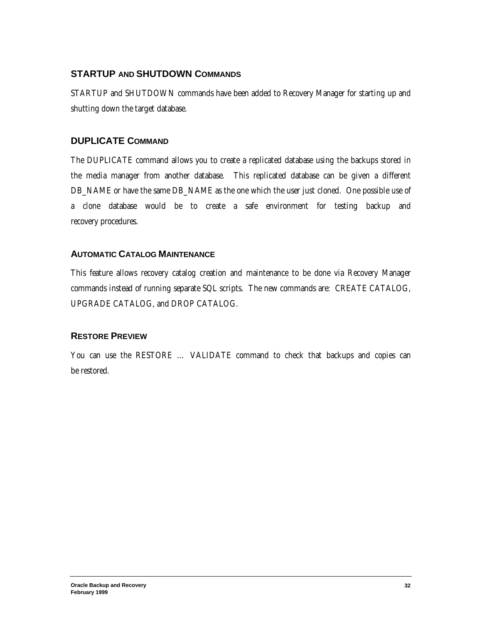# **STARTUP AND SHUTDOWN COMMANDS**

STARTUP and SHUTDOWN commands have been added to Recovery Manager for starting up and shutting down the target database.

# **DUPLICATE COMMAND**

The DUPLICATE command allows you to create a replicated database using the backups stored in the media manager from another database. This replicated database can be given a different DB\_NAME or have the same DB\_NAME as the one which the user just cloned. One possible use of a clone database would be to create a safe environment for testing backup and recovery procedures.

### **AUTOMATIC CATALOG MAINTENANCE**

This feature allows recovery catalog creation and maintenance to be done via Recovery Manager commands instead of running separate SQL scripts. The new commands are: CREATE CATALOG, UPGRADE CATALOG, and DROP CATALOG.

### **RESTORE PREVIEW**

You can use the RESTORE … VALIDATE command to check that backups and copies can be restored.